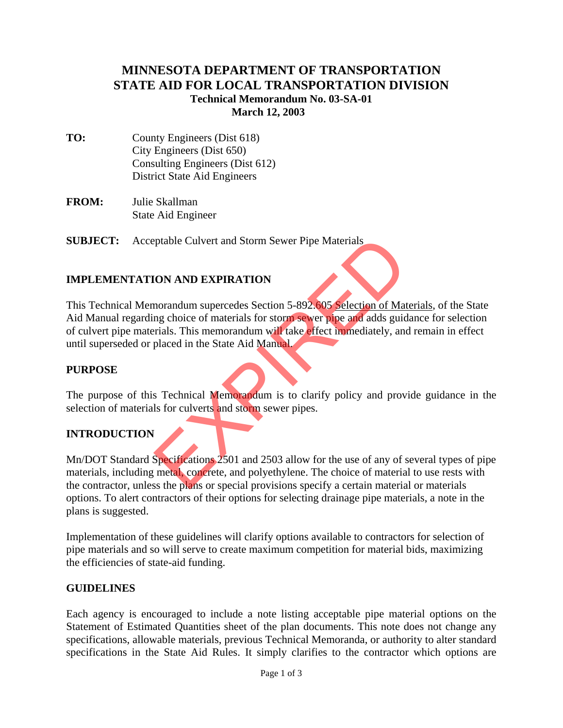# **MINNESOTA DEPARTMENT OF TRANSPORTATION STATE AID FOR LOCAL TRANSPORTATION DIVISION Technical Memorandum No. 03-SA-01 March 12, 2003**

- **TO:** County Engineers (Dist 618) City Engineers (Dist 650) Consulting Engineers (Dist 612) District State Aid Engineers
- **FROM:** Julie Skallman State Aid Engineer

**SUBJECT:** Acceptable Culvert and Storm Sewer Pipe Materials

## **IMPLEMENTATION AND EXPIRATION**

This Technical Memorandum supercedes Section 5-892.605 Selection of Materials, of the State Aid Manual regarding choice of materials for storm sewer pipe and adds guidance for selection of culvert pipe materials. This memorandum will take effect immediately, and remain in effect until superseded or placed in the State Aid Manual. ptable Culvert and Storm Sewer Pipe Materials<br>
(ON AND EXPIRATION<br>
morandum supercedes Section 5-892.605 Selection of Mat<br>
mg choice of materials for storm sewer pipe and adds guid<br>
rials. This memorandum will take effect

### **PURPOSE**

The purpose of this Technical Memorandum is to clarify policy and provide guidance in the selection of materials for culverts and storm sewer pipes.

## **INTRODUCTION**

Mn/DOT Standard Specifications 2501 and 2503 allow for the use of any of several types of pipe materials, including metal, concrete, and polyethylene. The choice of material to use rests with the contractor, unless the plans or special provisions specify a certain material or materials options. To alert contractors of their options for selecting drainage pipe materials, a note in the plans is suggested.

Implementation of these guidelines will clarify options available to contractors for selection of pipe materials and so will serve to create maximum competition for material bids, maximizing the efficiencies of state-aid funding.

### **GUIDELINES**

Each agency is encouraged to include a note listing acceptable pipe material options on the Statement of Estimated Quantities sheet of the plan documents. This note does not change any specifications, allowable materials, previous Technical Memoranda, or authority to alter standard specifications in the State Aid Rules. It simply clarifies to the contractor which options are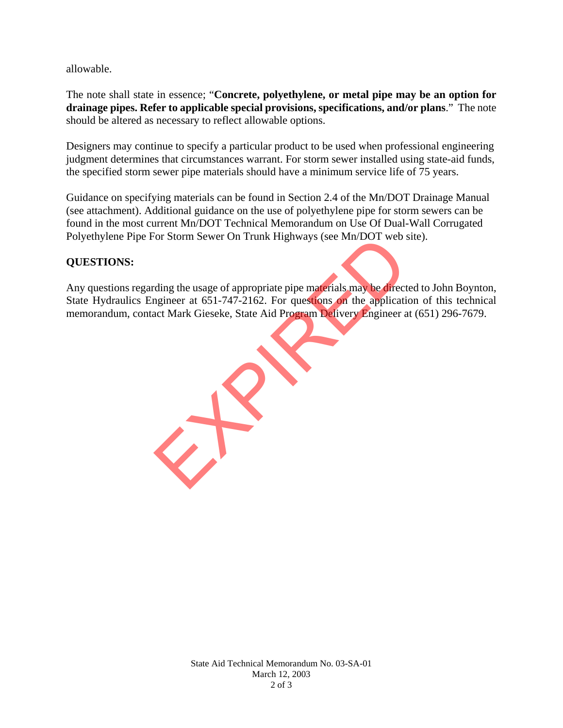allowable.

The note shall state in essence; "**Concrete, polyethylene, or metal pipe may be an option for drainage pipes. Refer to applicable special provisions, specifications, and/or plans**." The note should be altered as necessary to reflect allowable options.

Designers may continue to specify a particular product to be used when professional engineering judgment determines that circumstances warrant. For storm sewer installed using state-aid funds, the specified storm sewer pipe materials should have a minimum service life of 75 years.

Guidance on specifying materials can be found in Section 2.4 of the Mn/DOT Drainage Manual (see attachment). Additional guidance on the use of polyethylene pipe for storm sewers can be found in the most current Mn/DOT Technical Memorandum on Use Of Dual-Wall Corrugated Polyethylene Pipe For Storm Sewer On Trunk Highways (see Mn/DOT web site).

### **QUESTIONS:**

Any questions regarding the usage of appropriate pipe materials may be directed to John Boynton, State Hydraulics Engineer at 651-747-2162. For questions on the application of this technical memorandum, contact Mark Gieseke, State Aid Program Delivery Engineer at (651) 296-7679. For Storm Sewer On Trunk Highways (see Min/DOT web s)<br>ding the usage of appropriate pipe materials may be direct<br>ngineer at 651-747-2162. For questions on the application<br>act Mark Gieseke, State Aid Program Delivery Engine